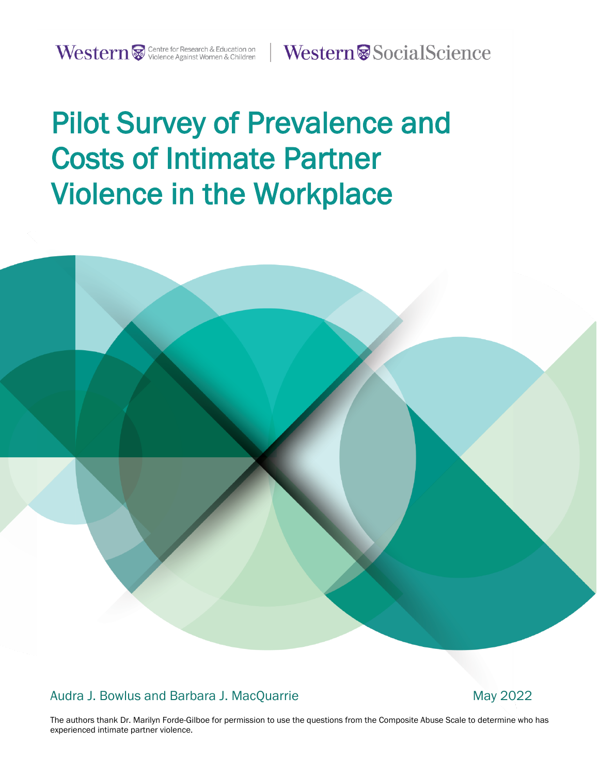Western<sup>®</sup>SocialScience

# Pilot Survey of Prevalence and Costs of Intimate Partner Violence in the Workplace

Western Western

Audra J. Bowlus and Barbara J. MacQuarrie May 2022

The authors thank Dr. Marilyn Forde-Gilboe for permission to use the questions from the Composite Abuse Scale to determine who has experienced intimate partner violence.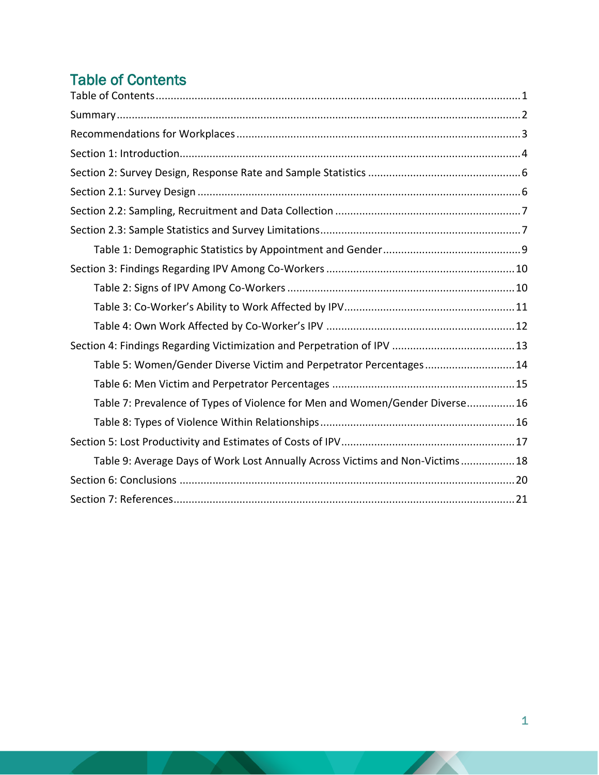# <span id="page-1-0"></span>Table of Contents

| Table 5: Women/Gender Diverse Victim and Perpetrator Percentages 14           |
|-------------------------------------------------------------------------------|
|                                                                               |
| Table 7: Prevalence of Types of Violence for Men and Women/Gender Diverse16   |
|                                                                               |
|                                                                               |
| Table 9: Average Days of Work Lost Annually Across Victims and Non-Victims 18 |
|                                                                               |
|                                                                               |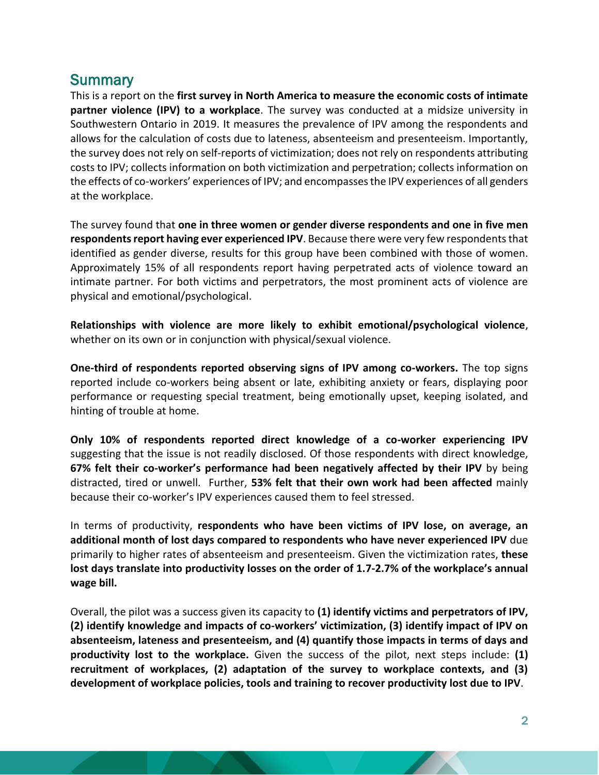# <span id="page-2-0"></span>**Summary**

This is a report on the **first survey in North America to measure the economic costs of intimate partner violence (IPV) to a workplace**. The survey was conducted at a midsize university in Southwestern Ontario in 2019. It measures the prevalence of IPV among the respondents and allows for the calculation of costs due to lateness, absenteeism and presenteeism. Importantly, the survey does not rely on self-reports of victimization; does not rely on respondents attributing costs to IPV; collects information on both victimization and perpetration; collects information on the effects of co-workers' experiences of IPV; and encompasses the IPV experiences of all genders at the workplace.

The survey found that **one in three women or gender diverse respondents and one in five men respondents report having ever experienced IPV. Because there were very few respondents that** identified as gender diverse, results for this group have been combined with those of women. Approximately 15% of all respondents report having perpetrated acts of violence toward an intimate partner. For both victims and perpetrators, the most prominent acts of violence are physical and emotional/psychological.

**Relationships with violence are more likely to exhibit emotional/psychological violence**, whether on its own or in conjunction with physical/sexual violence.

**One-third of respondents reported observing signs of IPV among co-workers.** The top signs reported include co-workers being absent or late, exhibiting anxiety or fears, displaying poor performance or requesting special treatment, being emotionally upset, keeping isolated, and hinting of trouble at home.

**Only 10% of respondents reported direct knowledge of a co-worker experiencing IPV** suggesting that the issue is not readily disclosed. Of those respondents with direct knowledge, **67% felt their co-worker's performance had been negatively affected by their IPV** by being distracted, tired or unwell. Further, **53% felt that their own work had been affected** mainly because their co-worker's IPV experiences caused them to feel stressed.

In terms of productivity, **respondents who have been victims of IPV lose, on average, an additional month of lost days compared to respondents who have never experienced IPV** due primarily to higher rates of absenteeism and presenteeism. Given the victimization rates, **these lost days translate into productivity losses on the order of 1.7-2.7% of the workplace's annual wage bill.**

Overall, the pilot was a success given its capacity to **(1) identify victims and perpetrators of IPV, (2) identify knowledge and impacts of co-workers' victimization, (3) identify impact of IPV on absenteeism, lateness and presenteeism, and (4) quantify those impacts in terms of days and productivity lost to the workplace.** Given the success of the pilot, next steps include: **(1) recruitment of workplaces, (2) adaptation of the survey to workplace contexts, and (3) development of workplace policies, tools and training to recover productivity lost due to IPV**.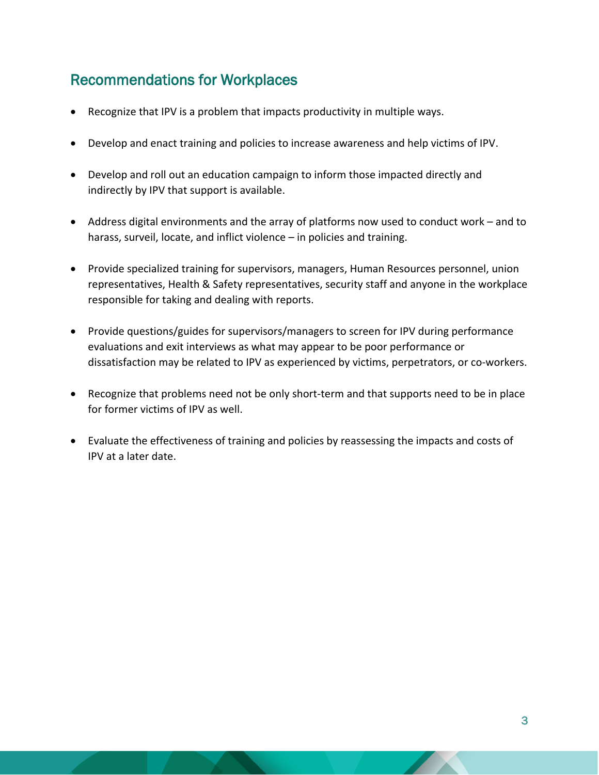# <span id="page-3-0"></span>Recommendations for Workplaces

- Recognize that IPV is a problem that impacts productivity in multiple ways.
- Develop and enact training and policies to increase awareness and help victims of IPV.
- Develop and roll out an education campaign to inform those impacted directly and indirectly by IPV that support is available.
- Address digital environments and the array of platforms now used to conduct work and to harass, surveil, locate, and inflict violence – in policies and training.
- Provide specialized training for supervisors, managers, Human Resources personnel, union representatives, Health & Safety representatives, security staff and anyone in the workplace responsible for taking and dealing with reports.
- Provide questions/guides for supervisors/managers to screen for IPV during performance evaluations and exit interviews as what may appear to be poor performance or dissatisfaction may be related to IPV as experienced by victims, perpetrators, or co-workers.
- Recognize that problems need not be only short-term and that supports need to be in place for former victims of IPV as well.
- Evaluate the effectiveness of training and policies by reassessing the impacts and costs of IPV at a later date.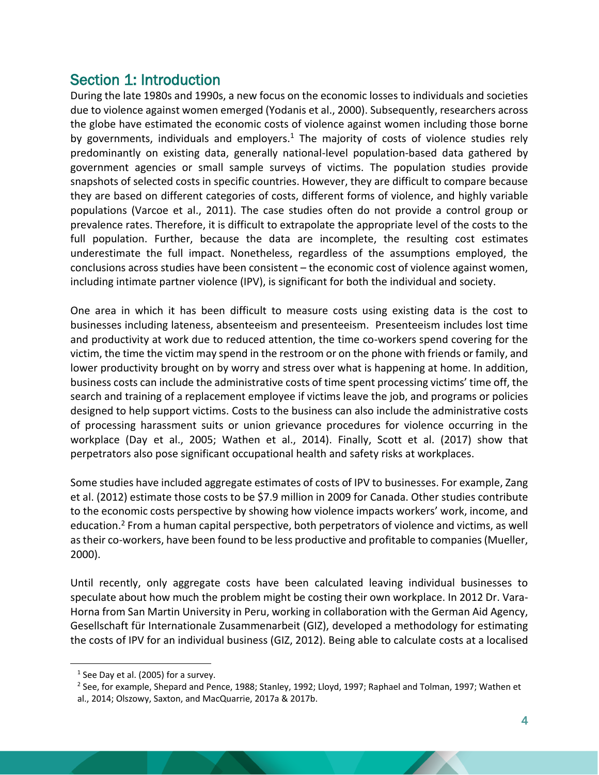# <span id="page-4-0"></span>Section 1: Introduction

During the late 1980s and 1990s, a new focus on the economic losses to individuals and societies due to violence against women emerged (Yodanis et al., 2000). Subsequently, researchers across the globe have estimated the economic costs of violence against women including those borne by governments, individuals and employers.<sup>1</sup> The majority of costs of violence studies rely predominantly on existing data, generally national-level population-based data gathered by government agencies or small sample surveys of victims. The population studies provide snapshots of selected costs in specific countries. However, they are difficult to compare because they are based on different categories of costs, different forms of violence, and highly variable populations (Varcoe et al., 2011). The case studies often do not provide a control group or prevalence rates. Therefore, it is difficult to extrapolate the appropriate level of the costs to the full population. Further, because the data are incomplete, the resulting cost estimates underestimate the full impact. Nonetheless, regardless of the assumptions employed, the conclusions across studies have been consistent – the economic cost of violence against women, including intimate partner violence (IPV), is significant for both the individual and society.

One area in which it has been difficult to measure costs using existing data is the cost to businesses including lateness, absenteeism and presenteeism. Presenteeism includes lost time and productivity at work due to reduced attention, the time co-workers spend covering for the victim, the time the victim may spend in the restroom or on the phone with friends or family, and lower productivity brought on by worry and stress over what is happening at home. In addition, business costs can include the administrative costs of time spent processing victims' time off, the search and training of a replacement employee if victims leave the job, and programs or policies designed to help support victims. Costs to the business can also include the administrative costs of processing harassment suits or union grievance procedures for violence occurring in the workplace (Day et al., 2005; Wathen et al., 2014). Finally, Scott et al. (2017) show that perpetrators also pose significant occupational health and safety risks at workplaces.

Some studies have included aggregate estimates of costs of IPV to businesses. For example, Zang et al. (2012) estimate those costs to be \$7.9 million in 2009 for Canada. Other studies contribute to the economic costs perspective by showing how violence impacts workers' work, income, and education.<sup>2</sup> From a human capital perspective, both perpetrators of violence and victims, as well as their co-workers, have been found to be less productive and profitable to companies (Mueller, 2000).

Until recently, only aggregate costs have been calculated leaving individual businesses to speculate about how much the problem might be costing their own workplace. In 2012 Dr. Vara-Horna from San Martin University in Peru, working in collaboration with the German Aid Agency, Gesellschaft für Internationale Zusammenarbeit (GIZ), developed a methodology for estimating the costs of IPV for an individual business (GIZ, 2012). Being able to calculate costs at a localised

 $<sup>1</sup>$  See Day et al. (2005) for a survey.</sup>

<sup>2</sup> See, for example, Shepard and Pence, 1988; Stanley, 1992; Lloyd, 1997; Raphael and Tolman, 1997; Wathen et al., 2014; Olszowy, Saxton, and MacQuarrie, 2017a & 2017b.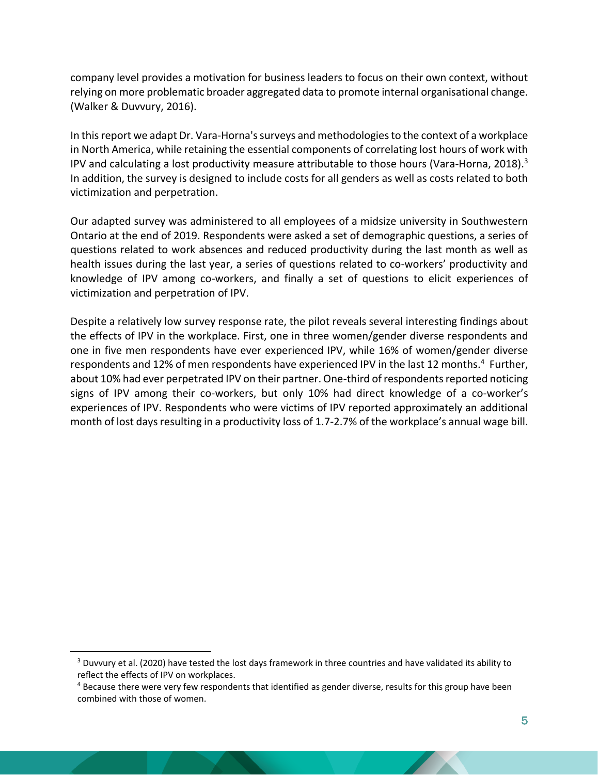company level provides a motivation for business leaders to focus on their own context, without relying on more problematic broader aggregated data to promote internal organisational change. (Walker & Duvvury, 2016).

In this report we adapt Dr. Vara-Horna's surveys and methodologies to the context of a workplace in North America, while retaining the essential components of correlating lost hours of work with IPV and calculating a lost productivity measure attributable to those hours (Vara-Horna, 2018).<sup>3</sup> In addition, the survey is designed to include costs for all genders as well as costs related to both victimization and perpetration.

Our adapted survey was administered to all employees of a midsize university in Southwestern Ontario at the end of 2019. Respondents were asked a set of demographic questions, a series of questions related to work absences and reduced productivity during the last month as well as health issues during the last year, a series of questions related to co-workers' productivity and knowledge of IPV among co-workers, and finally a set of questions to elicit experiences of victimization and perpetration of IPV.

Despite a relatively low survey response rate, the pilot reveals several interesting findings about the effects of IPV in the workplace. First, one in three women/gender diverse respondents and one in five men respondents have ever experienced IPV, while 16% of women/gender diverse respondents and 12% of men respondents have experienced IPV in the last 12 months.<sup>4</sup> Further, about 10% had ever perpetrated IPV on their partner. One-third of respondents reported noticing signs of IPV among their co-workers, but only 10% had direct knowledge of a co-worker's experiences of IPV. Respondents who were victims of IPV reported approximately an additional month of lost days resulting in a productivity loss of 1.7-2.7% of the workplace's annual wage bill.

<sup>&</sup>lt;sup>3</sup> Duvvury et al. (2020) have tested the lost days framework in three countries and have validated its ability to reflect the effects of IPV on workplaces.

<sup>&</sup>lt;sup>4</sup> Because there were very few respondents that identified as gender diverse, results for this group have been combined with those of women.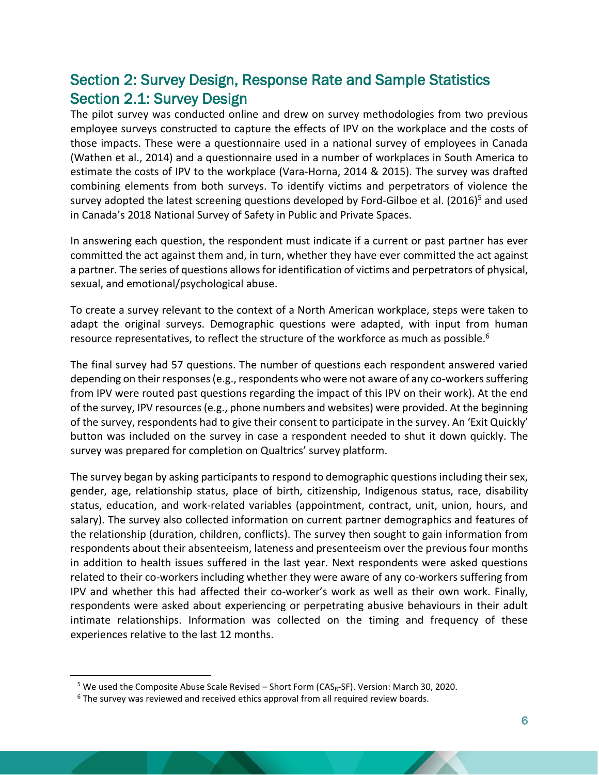# <span id="page-6-1"></span><span id="page-6-0"></span>Section 2: Survey Design, Response Rate and Sample Statistics Section 2.1: Survey Design

The pilot survey was conducted online and drew on survey methodologies from two previous employee surveys constructed to capture the effects of IPV on the workplace and the costs of those impacts. These were a questionnaire used in a national survey of employees in Canada (Wathen et al., 2014) and a questionnaire used in a number of workplaces in South America to estimate the costs of IPV to the workplace (Vara-Horna, 2014 & 2015). The survey was drafted combining elements from both surveys. To identify victims and perpetrators of violence the survey adopted the latest screening questions developed by Ford-Gilboe et al. (2016)<sup>5</sup> and used in Canada's 2018 National Survey of Safety in Public and Private Spaces.

In answering each question, the respondent must indicate if a current or past partner has ever committed the act against them and, in turn, whether they have ever committed the act against a partner. The series of questions allows for identification of victims and perpetrators of physical, sexual, and emotional/psychological abuse.

To create a survey relevant to the context of a North American workplace, steps were taken to adapt the original surveys. Demographic questions were adapted, with input from human resource representatives, to reflect the structure of the workforce as much as possible.<sup>6</sup>

The final survey had 57 questions. The number of questions each respondent answered varied depending on their responses (e.g., respondents who were not aware of any co-workers suffering from IPV were routed past questions regarding the impact of this IPV on their work). At the end of the survey, IPV resources (e.g., phone numbers and websites) were provided. At the beginning of the survey, respondents had to give their consent to participate in the survey. An 'Exit Quickly' button was included on the survey in case a respondent needed to shut it down quickly. The survey was prepared for completion on Qualtrics' survey platform.

The survey began by asking participants to respond to demographic questions including their sex, gender, age, relationship status, place of birth, citizenship, Indigenous status, race, disability status, education, and work-related variables (appointment, contract, unit, union, hours, and salary). The survey also collected information on current partner demographics and features of the relationship (duration, children, conflicts). The survey then sought to gain information from respondents about their absenteeism, lateness and presenteeism over the previous four months in addition to health issues suffered in the last year. Next respondents were asked questions related to their co-workers including whether they were aware of any co-workers suffering from IPV and whether this had affected their co-worker's work as well as their own work. Finally, respondents were asked about experiencing or perpetrating abusive behaviours in their adult intimate relationships. Information was collected on the timing and frequency of these experiences relative to the last 12 months.

<sup>&</sup>lt;sup>5</sup> We used the Composite Abuse Scale Revised – Short Form ( $CAS_R-SF$ ). Version: March 30, 2020.

<sup>&</sup>lt;sup>6</sup> The survey was reviewed and received ethics approval from all required review boards.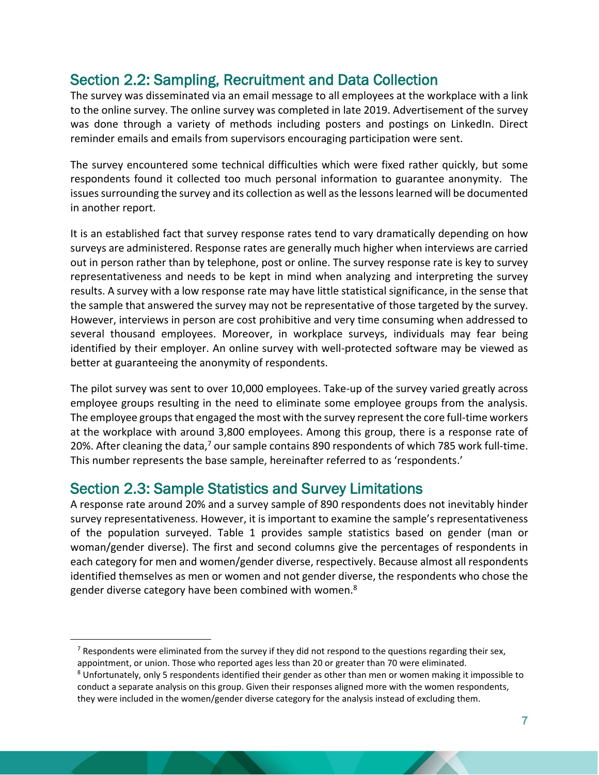# <span id="page-7-0"></span>Section 2.2: Sampling, Recruitment and Data Collection

The survey was disseminated via an email message to all employees at the workplace with a link to the online survey. The online survey was completed in late 2019. Advertisement of the survey was done through a variety of methods including posters and postings on LinkedIn. Direct reminder emails and emails from supervisors encouraging participation were sent.

The survey encountered some technical difficulties which were fixed rather quickly, but some respondents found it collected too much personal information to guarantee anonymity. The issues surrounding the survey and its collection as well as the lessons learned will be documented in another report.

It is an established fact that survey response rates tend to vary dramatically depending on how surveys are administered. Response rates are generally much higher when interviews are carried out in person rather than by telephone, post or online. The survey response rate is key to survey representativeness and needs to be kept in mind when analyzing and interpreting the survey results. A survey with a low response rate may have little statistical significance, in the sense that the sample that answered the survey may not be representative of those targeted by the survey. However, interviews in person are cost prohibitive and very time consuming when addressed to several thousand employees. Moreover, in workplace surveys, individuals may fear being identified by their employer. An online survey with well-protected software may be viewed as better at guaranteeing the anonymity of respondents.

The pilot survey was sent to over 10,000 employees. Take-up of the survey varied greatly across employee groups resulting in the need to eliminate some employee groups from the analysis. The employee groups that engaged the most with the survey represent the core full-time workers at the workplace with around 3,800 employees. Among this group, there is a response rate of 20%. After cleaning the data,<sup>7</sup> our sample contains 890 respondents of which 785 work full-time. This number represents the base sample, hereinafter referred to as 'respondents.'

## <span id="page-7-1"></span>Section 2.3: Sample Statistics and Survey Limitations

A response rate around 20% and a survey sample of 890 respondents does not inevitably hinder survey representativeness. However, it is important to examine the sample's representativeness of the population surveyed. Table 1 provides sample statistics based on gender (man or woman/gender diverse). The first and second columns give the percentages of respondents in each category for men and women/gender diverse, respectively. Because almost all respondents identified themselves as men or women and not gender diverse, the respondents who chose the gender diverse category have been combined with women.<sup>8</sup>

 $<sup>7</sup>$  Respondents were eliminated from the survey if they did not respond to the questions regarding their sex,</sup>

appointment, or union. Those who reported ages less than 20 or greater than 70 were eliminated.

<sup>&</sup>lt;sup>8</sup> Unfortunately, only 5 respondents identified their gender as other than men or women making it impossible to conduct a separate analysis on this group. Given their responses aligned more with the women respondents, they were included in the women/gender diverse category for the analysis instead of excluding them.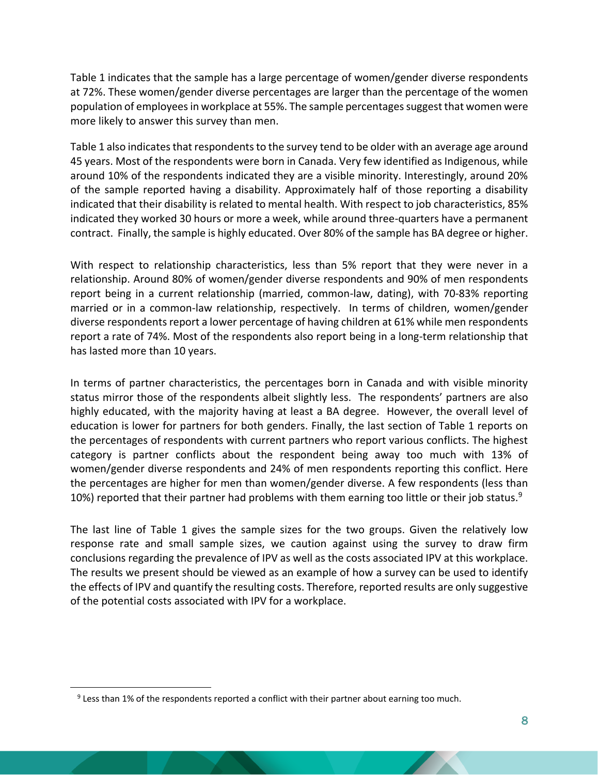Table 1 indicates that the sample has a large percentage of women/gender diverse respondents at 72%. These women/gender diverse percentages are larger than the percentage of the women population of employees in workplace at 55%. The sample percentages suggest that women were more likely to answer this survey than men.

Table 1 also indicates that respondents to the survey tend to be older with an average age around 45 years. Most of the respondents were born in Canada. Very few identified as Indigenous, while around 10% of the respondents indicated they are a visible minority. Interestingly, around 20% of the sample reported having a disability. Approximately half of those reporting a disability indicated that their disability is related to mental health. With respect to job characteristics, 85% indicated they worked 30 hours or more a week, while around three-quarters have a permanent contract. Finally, the sample is highly educated. Over 80% of the sample has BA degree or higher.

With respect to relationship characteristics, less than 5% report that they were never in a relationship. Around 80% of women/gender diverse respondents and 90% of men respondents report being in a current relationship (married, common-law, dating), with 70-83% reporting married or in a common-law relationship, respectively. In terms of children, women/gender diverse respondents report a lower percentage of having children at 61% while men respondents report a rate of 74%. Most of the respondents also report being in a long-term relationship that has lasted more than 10 years.

In terms of partner characteristics, the percentages born in Canada and with visible minority status mirror those of the respondents albeit slightly less. The respondents' partners are also highly educated, with the majority having at least a BA degree. However, the overall level of education is lower for partners for both genders. Finally, the last section of Table 1 reports on the percentages of respondents with current partners who report various conflicts. The highest category is partner conflicts about the respondent being away too much with 13% of women/gender diverse respondents and 24% of men respondents reporting this conflict. Here the percentages are higher for men than women/gender diverse. A few respondents (less than 10%) reported that their partner had problems with them earning too little or their job status.<sup>9</sup>

The last line of Table 1 gives the sample sizes for the two groups. Given the relatively low response rate and small sample sizes, we caution against using the survey to draw firm conclusions regarding the prevalence of IPV as well as the costs associated IPV at this workplace. The results we present should be viewed as an example of how a survey can be used to identify the effects of IPV and quantify the resulting costs. Therefore, reported results are only suggestive of the potential costs associated with IPV for a workplace.

 $9$  Less than 1% of the respondents reported a conflict with their partner about earning too much.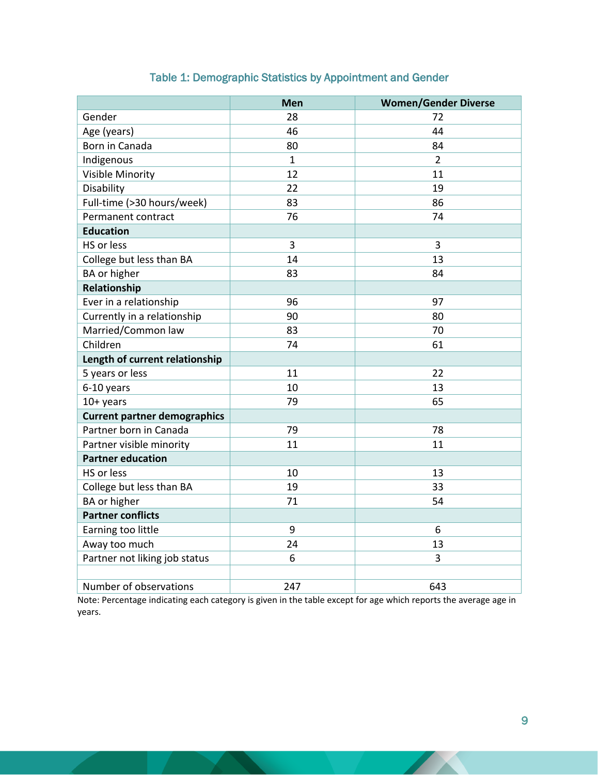<span id="page-9-0"></span>

|                                     | Men            | <b>Women/Gender Diverse</b> |
|-------------------------------------|----------------|-----------------------------|
| Gender                              | 28             | 72                          |
| Age (years)                         | 46             | 44                          |
| Born in Canada                      | 80             | 84                          |
| Indigenous                          | $\mathbf{1}$   | $\overline{2}$              |
| <b>Visible Minority</b>             | 12             | 11                          |
| Disability                          | 22             | 19                          |
| Full-time (>30 hours/week)          | 83             | 86                          |
| Permanent contract                  | 76             | 74                          |
| <b>Education</b>                    |                |                             |
| HS or less                          | $\overline{3}$ | 3                           |
| College but less than BA            | 14             | 13                          |
| BA or higher                        | 83             | 84                          |
| Relationship                        |                |                             |
| Ever in a relationship              | 96             | 97                          |
| Currently in a relationship         | 90             | 80                          |
| Married/Common law                  | 83             | 70                          |
| Children                            | 74             | 61                          |
| Length of current relationship      |                |                             |
| 5 years or less                     | 11             | 22                          |
| 6-10 years                          | 10             | 13                          |
| $10+$ years                         | 79             | 65                          |
| <b>Current partner demographics</b> |                |                             |
| Partner born in Canada              | 79             | 78                          |
| Partner visible minority            | 11             | 11                          |
| <b>Partner education</b>            |                |                             |
| HS or less                          | 10             | 13                          |
| College but less than BA            | 19             | 33                          |
| BA or higher                        | 71             | 54                          |
| <b>Partner conflicts</b>            |                |                             |
| Earning too little                  | 9              | 6                           |
| Away too much                       | 24             | 13                          |
| Partner not liking job status       | 6              | 3                           |
|                                     |                |                             |
| Number of observations              | 247            | 643                         |

### Table 1: Demographic Statistics by Appointment and Gender

Note: Percentage indicating each category is given in the table except for age which reports the average age in years.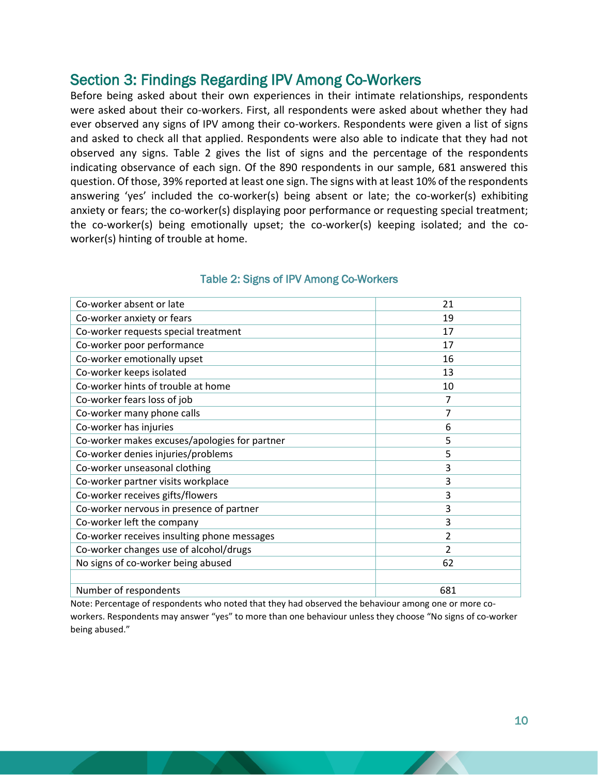# <span id="page-10-0"></span>Section 3: Findings Regarding IPV Among Co-Workers

Before being asked about their own experiences in their intimate relationships, respondents were asked about their co-workers. First, all respondents were asked about whether they had ever observed any signs of IPV among their co-workers. Respondents were given a list of signs and asked to check all that applied. Respondents were also able to indicate that they had not observed any signs. Table 2 gives the list of signs and the percentage of the respondents indicating observance of each sign. Of the 890 respondents in our sample, 681 answered this question. Of those, 39% reported at least one sign. The signs with at least 10% of the respondents answering 'yes' included the co-worker(s) being absent or late; the co-worker(s) exhibiting anxiety or fears; the co-worker(s) displaying poor performance or requesting special treatment; the co-worker(s) being emotionally upset; the co-worker(s) keeping isolated; and the coworker(s) hinting of trouble at home.

<span id="page-10-1"></span>

| Co-worker absent or late                      | 21             |
|-----------------------------------------------|----------------|
| Co-worker anxiety or fears                    | 19             |
| Co-worker requests special treatment          | 17             |
| Co-worker poor performance                    | 17             |
| Co-worker emotionally upset                   | 16             |
| Co-worker keeps isolated                      | 13             |
| Co-worker hints of trouble at home            | 10             |
| Co-worker fears loss of job                   | 7              |
| Co-worker many phone calls                    | 7              |
| Co-worker has injuries                        | 6              |
| Co-worker makes excuses/apologies for partner | 5              |
| Co-worker denies injuries/problems            | 5              |
| Co-worker unseasonal clothing                 | 3              |
| Co-worker partner visits workplace            | 3              |
| Co-worker receives gifts/flowers              | 3              |
| Co-worker nervous in presence of partner      | 3              |
| Co-worker left the company                    | 3              |
| Co-worker receives insulting phone messages   | $\overline{2}$ |
| Co-worker changes use of alcohol/drugs        | $\mathfrak{p}$ |
| No signs of co-worker being abused            | 62             |
|                                               |                |
| Number of respondents                         | 681            |

#### Table 2: Signs of IPV Among Co-Workers

Note: Percentage of respondents who noted that they had observed the behaviour among one or more coworkers. Respondents may answer "yes" to more than one behaviour unless they choose "No signs of co-worker being abused."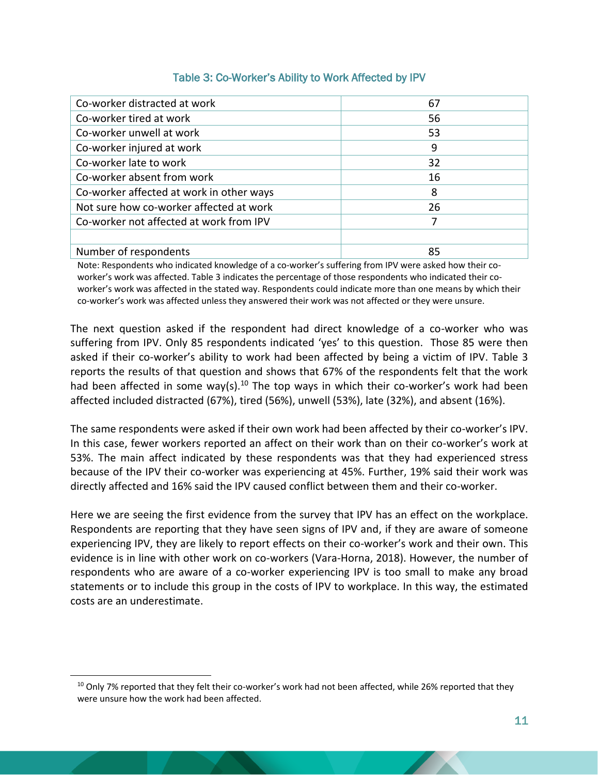#### Table 3: Co-Worker's Ability to Work Affected by IPV

<span id="page-11-0"></span>

| Co-worker distracted at work             | 67 |
|------------------------------------------|----|
| Co-worker tired at work                  | 56 |
| Co-worker unwell at work                 | 53 |
| Co-worker injured at work                | 9  |
| Co-worker late to work                   | 32 |
| Co-worker absent from work               | 16 |
| Co-worker affected at work in other ways | 8  |
| Not sure how co-worker affected at work  | 26 |
| Co-worker not affected at work from IPV  |    |
|                                          |    |
| Number of respondents                    | 85 |

Note: Respondents who indicated knowledge of a co-worker's suffering from IPV were asked how their coworker's work was affected. Table 3 indicates the percentage of those respondents who indicated their coworker's work was affected in the stated way. Respondents could indicate more than one means by which their co-worker's work was affected unless they answered their work was not affected or they were unsure.

The next question asked if the respondent had direct knowledge of a co-worker who was suffering from IPV. Only 85 respondents indicated 'yes' to this question. Those 85 were then asked if their co-worker's ability to work had been affected by being a victim of IPV. Table 3 reports the results of that question and shows that 67% of the respondents felt that the work had been affected in some way(s).<sup>10</sup> The top ways in which their co-worker's work had been affected included distracted (67%), tired (56%), unwell (53%), late (32%), and absent (16%).

The same respondents were asked if their own work had been affected by their co-worker's IPV. In this case, fewer workers reported an affect on their work than on their co-worker's work at 53%. The main affect indicated by these respondents was that they had experienced stress because of the IPV their co-worker was experiencing at 45%. Further, 19% said their work was directly affected and 16% said the IPV caused conflict between them and their co-worker.

Here we are seeing the first evidence from the survey that IPV has an effect on the workplace. Respondents are reporting that they have seen signs of IPV and, if they are aware of someone experiencing IPV, they are likely to report effects on their co-worker's work and their own. This evidence is in line with other work on co-workers (Vara-Horna, 2018). However, the number of respondents who are aware of a co-worker experiencing IPV is too small to make any broad statements or to include this group in the costs of IPV to workplace. In this way, the estimated costs are an underestimate.

 $10$  Only 7% reported that they felt their co-worker's work had not been affected, while 26% reported that they were unsure how the work had been affected.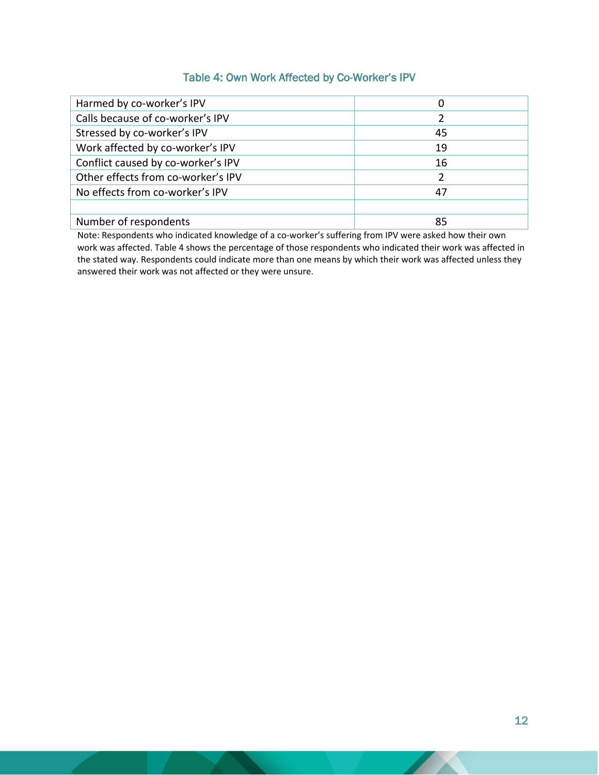#### Table 4: Own Work Affected by Co-Worker's IPV

<span id="page-12-0"></span>

| Harmed by co-worker's IPV          | 0              |
|------------------------------------|----------------|
| Calls because of co-worker's IPV   | $\overline{2}$ |
| Stressed by co-worker's IPV        | 45             |
| Work affected by co-worker's IPV   | 19             |
| Conflict caused by co-worker's IPV | 16             |
| Other effects from co-worker's IPV |                |
| No effects from co-worker's IPV    | 47             |
|                                    |                |
| Number of respondents              | 85             |

Note: Respondents who indicated knowledge of a co-worker's suffering from IPV were asked how their own work was affected. Table 4 shows the percentage of those respondents who indicated their work was affected in the stated way. Respondents could indicate more than one means by which their work was affected unless they answered their work was not affected or they were unsure.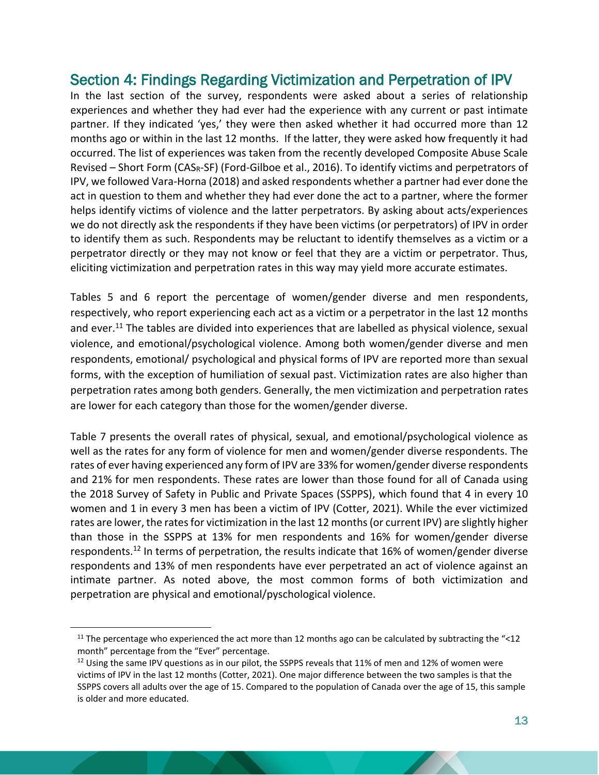# <span id="page-13-0"></span>Section 4: Findings Regarding Victimization and Perpetration of IPV

In the last section of the survey, respondents were asked about a series of relationship experiences and whether they had ever had the experience with any current or past intimate partner. If they indicated 'yes,' they were then asked whether it had occurred more than 12 months ago or within in the last 12 months. If the latter, they were asked how frequently it had occurred. The list of experiences was taken from the recently developed Composite Abuse Scale Revised – Short Form (CAS<sub>R</sub>-SF) (Ford-Gilboe et al., 2016). To identify victims and perpetrators of IPV, we followed Vara-Horna (2018) and asked respondents whether a partner had ever done the act in question to them and whether they had ever done the act to a partner, where the former helps identify victims of violence and the latter perpetrators. By asking about acts/experiences we do not directly ask the respondents if they have been victims (or perpetrators) of IPV in order to identify them as such. Respondents may be reluctant to identify themselves as a victim or a perpetrator directly or they may not know or feel that they are a victim or perpetrator. Thus, eliciting victimization and perpetration rates in this way may yield more accurate estimates.

Tables 5 and 6 report the percentage of women/gender diverse and men respondents, respectively, who report experiencing each act as a victim or a perpetrator in the last 12 months and ever.<sup>11</sup> The tables are divided into experiences that are labelled as physical violence, sexual violence, and emotional/psychological violence. Among both women/gender diverse and men respondents, emotional/ psychological and physical forms of IPV are reported more than sexual forms, with the exception of humiliation of sexual past. Victimization rates are also higher than perpetration rates among both genders. Generally, the men victimization and perpetration rates are lower for each category than those for the women/gender diverse.

Table 7 presents the overall rates of physical, sexual, and emotional/psychological violence as well as the rates for any form of violence for men and women/gender diverse respondents. The rates of ever having experienced any form of IPV are 33% for women/gender diverse respondents and 21% for men respondents. These rates are lower than those found for all of Canada using the 2018 Survey of Safety in Public and Private Spaces (SSPPS), which found that 4 in every 10 women and 1 in every 3 men has been a victim of IPV (Cotter, 2021). While the ever victimized rates are lower, the rates for victimization in the last 12 months (or current IPV) are slightly higher than those in the SSPPS at 13% for men respondents and 16% for women/gender diverse respondents.<sup>12</sup> In terms of perpetration, the results indicate that 16% of women/gender diverse respondents and 13% of men respondents have ever perpetrated an act of violence against an intimate partner. As noted above, the most common forms of both victimization and perpetration are physical and emotional/pyschological violence.

<sup>&</sup>lt;sup>11</sup> The percentage who experienced the act more than 12 months ago can be calculated by subtracting the "<12 month" percentage from the "Ever" percentage.

 $12$  Using the same IPV questions as in our pilot, the SSPPS reveals that 11% of men and 12% of women were victims of IPV in the last 12 months (Cotter, 2021). One major difference between the two samples is that the SSPPS covers all adults over the age of 15. Compared to the population of Canada over the age of 15, this sample is older and more educated.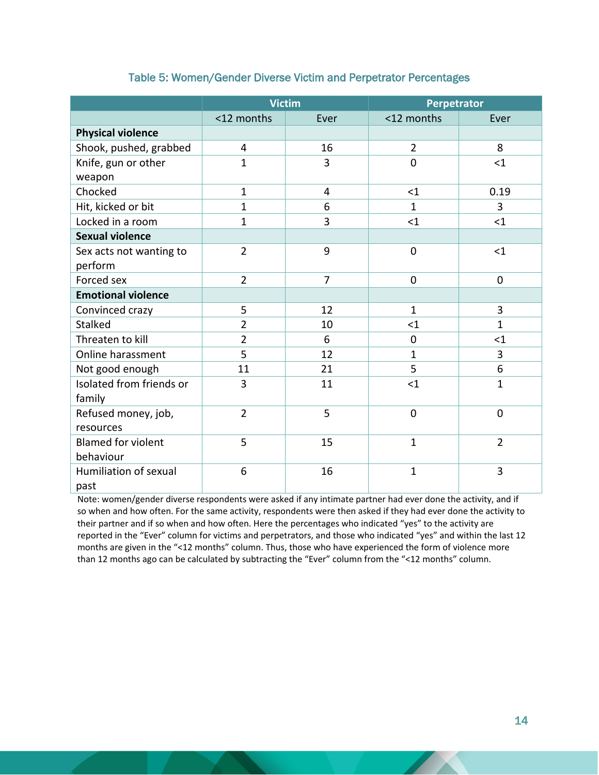<span id="page-14-0"></span>

|                           | <b>Victim</b>      |                | Perpetrator    |                |
|---------------------------|--------------------|----------------|----------------|----------------|
|                           | <12 months<br>Ever |                | <12 months     | Ever           |
| <b>Physical violence</b>  |                    |                |                |                |
| Shook, pushed, grabbed    | 4                  | 16             | $\overline{2}$ | 8              |
| Knife, gun or other       | $\mathbf{1}$       | 3              | $\mathbf 0$    | $<$ 1          |
| weapon                    |                    |                |                |                |
| Chocked                   | $\mathbf{1}$       | $\overline{4}$ | $\leq$ 1       | 0.19           |
| Hit, kicked or bit        | $\mathbf{1}$       | 6              | $\mathbf{1}$   | 3              |
| Locked in a room          | $\mathbf{1}$       | 3              | $<$ 1          | $\leq 1$       |
| <b>Sexual violence</b>    |                    |                |                |                |
| Sex acts not wanting to   | $\overline{2}$     | 9              | $\mathbf 0$    | $<$ 1          |
| perform                   |                    |                |                |                |
| Forced sex                | $\overline{2}$     | $\overline{7}$ | $\mathbf 0$    | 0              |
| <b>Emotional violence</b> |                    |                |                |                |
| Convinced crazy           | 5                  | 12             | $\mathbf{1}$   | 3              |
| Stalked                   | $\overline{2}$     | 10             | $\leq$ 1       | $\mathbf{1}$   |
| Threaten to kill          | $\overline{2}$     | 6              | $\mathbf 0$    | $<$ 1          |
| Online harassment         | 5                  | 12             | $\mathbf{1}$   | 3              |
| Not good enough           | 11                 | 21             | 5              | 6              |
| Isolated from friends or  | 3                  | 11             | $<$ 1          | $\mathbf{1}$   |
| family                    |                    |                |                |                |
| Refused money, job,       | $\overline{2}$     | 5              | $\overline{0}$ | 0              |
| resources                 |                    |                |                |                |
| <b>Blamed for violent</b> | 5                  | 15             | $\mathbf{1}$   | $\overline{2}$ |
| behaviour                 |                    |                |                |                |
| Humiliation of sexual     | 6                  | 16             | $\mathbf{1}$   | 3              |
| past                      |                    |                |                |                |

#### Table 5: Women/Gender Diverse Victim and Perpetrator Percentages

Note: women/gender diverse respondents were asked if any intimate partner had ever done the activity, and if so when and how often. For the same activity, respondents were then asked if they had ever done the activity to their partner and if so when and how often. Here the percentages who indicated "yes" to the activity are reported in the "Ever" column for victims and perpetrators, and those who indicated "yes" and within the last 12 months are given in the "<12 months" column. Thus, those who have experienced the form of violence more than 12 months ago can be calculated by subtracting the "Ever" column from the "<12 months" column.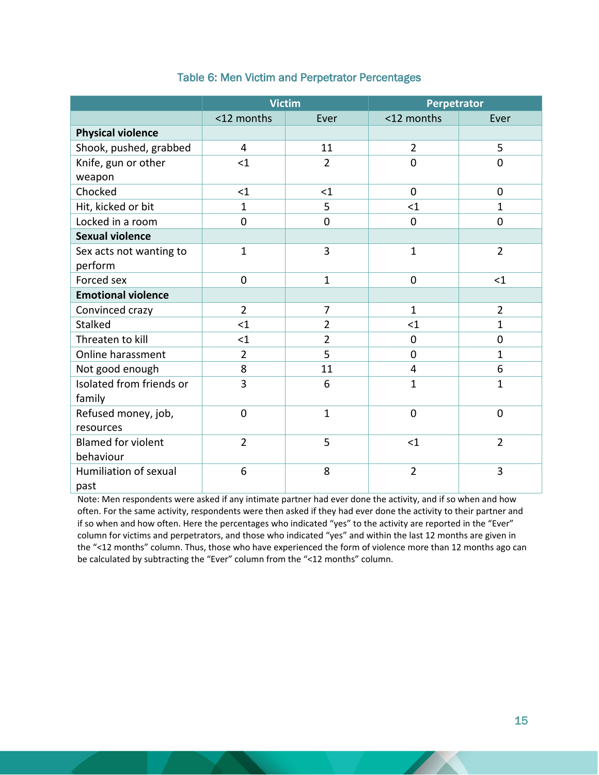<span id="page-15-0"></span>

|                           | <b>Victim</b>      |                | Perpetrator    |                |
|---------------------------|--------------------|----------------|----------------|----------------|
|                           | <12 months<br>Ever |                | <12 months     | Ever           |
| <b>Physical violence</b>  |                    |                |                |                |
| Shook, pushed, grabbed    | 4                  | 11             | $\overline{2}$ | 5              |
| Knife, gun or other       | $<$ 1              | $\overline{2}$ | $\overline{0}$ | $\mathbf 0$    |
| weapon                    |                    |                |                |                |
| Chocked                   | $<$ 1              | $\leq 1$       | $\mathbf 0$    | $\mathbf 0$    |
| Hit, kicked or bit        | $\mathbf{1}$       | 5              | $<$ 1          | 1              |
| Locked in a room          | 0                  | 0              | 0              | $\mathbf 0$    |
| <b>Sexual violence</b>    |                    |                |                |                |
| Sex acts not wanting to   | $\mathbf{1}$       | $\overline{3}$ | $\mathbf{1}$   | $\overline{2}$ |
| perform                   |                    |                |                |                |
| Forced sex                | 0                  | $\mathbf{1}$   | $\mathbf 0$    | $<$ 1          |
| <b>Emotional violence</b> |                    |                |                |                |
| Convinced crazy           | $\overline{2}$     | $\overline{7}$ | $\mathbf{1}$   | $\overline{2}$ |
| <b>Stalked</b>            | $\leq$ 1           | $\overline{2}$ | $\leq$ 1       | 1              |
| Threaten to kill          | $<$ 1              | $\overline{2}$ | $\mathbf 0$    | $\mathbf 0$    |
| Online harassment         | $\overline{2}$     | 5              | $\overline{0}$ | 1              |
| Not good enough           | 8                  | 11             | $\overline{4}$ | 6              |
| Isolated from friends or  | $\overline{3}$     | 6              | $\mathbf{1}$   | 1              |
| family                    |                    |                |                |                |
| Refused money, job,       | 0                  | 1              | $\mathbf 0$    | $\mathbf 0$    |
| resources                 |                    |                |                |                |
| <b>Blamed for violent</b> | $\overline{2}$     | 5              | $<$ 1          | $\overline{2}$ |
| behaviour                 |                    |                |                |                |
| Humiliation of sexual     | 6                  | 8              | $\overline{2}$ | 3              |
| past                      |                    |                |                |                |

#### Table 6: Men Victim and Perpetrator Percentages

Note: Men respondents were asked if any intimate partner had ever done the activity, and if so when and how often. For the same activity, respondents were then asked if they had ever done the activity to their partner and if so when and how often. Here the percentages who indicated "yes" to the activity are reported in the "Ever" column for victims and perpetrators, and those who indicated "yes" and within the last 12 months are given in the "<12 months" column. Thus, those who have experienced the form of violence more than 12 months ago can be calculated by subtracting the "Ever" column from the "<12 months" column.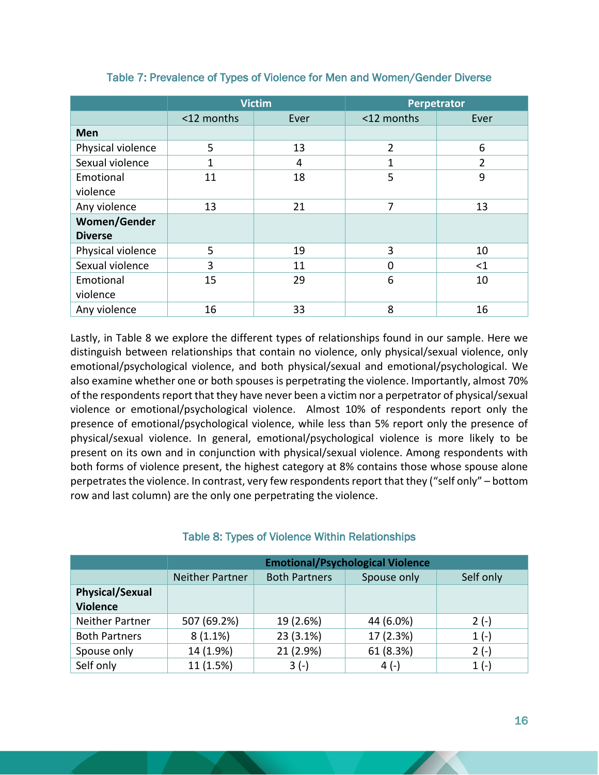<span id="page-16-0"></span>

|                   | <b>Victim</b> |      | <b>Perpetrator</b> |                |  |
|-------------------|---------------|------|--------------------|----------------|--|
|                   | <12 months    | Ever | <12 months         | Ever           |  |
| Men               |               |      |                    |                |  |
| Physical violence | 5             | 13   | $\overline{2}$     | 6              |  |
| Sexual violence   | 1             | 4    | 1                  | $\overline{2}$ |  |
| Emotional         | 11            | 18   | 5                  | 9              |  |
| violence          |               |      |                    |                |  |
| Any violence      | 13            | 21   | 7                  | 13             |  |
| Women/Gender      |               |      |                    |                |  |
| <b>Diverse</b>    |               |      |                    |                |  |
| Physical violence | 5             | 19   | 3                  | 10             |  |
| Sexual violence   | 3             | 11   | 0                  | $<$ 1          |  |
| Emotional         | 15            | 29   | 6                  | 10             |  |
| violence          |               |      |                    |                |  |
| Any violence      | 16            | 33   | 8                  | 16             |  |

#### Table 7: Prevalence of Types of Violence for Men and Women/Gender Diverse

Lastly, in Table 8 we explore the different types of relationships found in our sample. Here we distinguish between relationships that contain no violence, only physical/sexual violence, only emotional/psychological violence, and both physical/sexual and emotional/psychological. We also examine whether one or both spouses is perpetrating the violence. Importantly, almost 70% of the respondents report that they have never been a victim nor a perpetrator of physical/sexual violence or emotional/psychological violence. Almost 10% of respondents report only the presence of emotional/psychological violence, while less than 5% report only the presence of physical/sexual violence. In general, emotional/psychological violence is more likely to be present on its own and in conjunction with physical/sexual violence. Among respondents with both forms of violence present, the highest category at 8% contains those whose spouse alone perpetrates the violence. In contrast, very few respondents report that they ("self only" – bottom row and last column) are the only one perpetrating the violence.

<span id="page-16-1"></span>

|                        | <b>Emotional/Psychological Violence</b>                                    |           |           |        |  |
|------------------------|----------------------------------------------------------------------------|-----------|-----------|--------|--|
|                        | <b>Both Partners</b><br><b>Neither Partner</b><br>Spouse only<br>Self only |           |           |        |  |
| <b>Physical/Sexual</b> |                                                                            |           |           |        |  |
| <b>Violence</b>        |                                                                            |           |           |        |  |
| Neither Partner        | 507 (69.2%)                                                                | 19 (2.6%) | 44 (6.0%) | $2(-)$ |  |
| <b>Both Partners</b>   | $8(1.1\%)$                                                                 | 23 (3.1%) | 17 (2.3%) | $1(-)$ |  |
| Spouse only            | 14 (1.9%)                                                                  | 21 (2.9%) | 61 (8.3%) | $2(-)$ |  |
| Self only              | 11 (1.5%)                                                                  | $3(-)$    | $4(-)$    | $1(-)$ |  |

#### Table 8: Types of Violence Within Relationships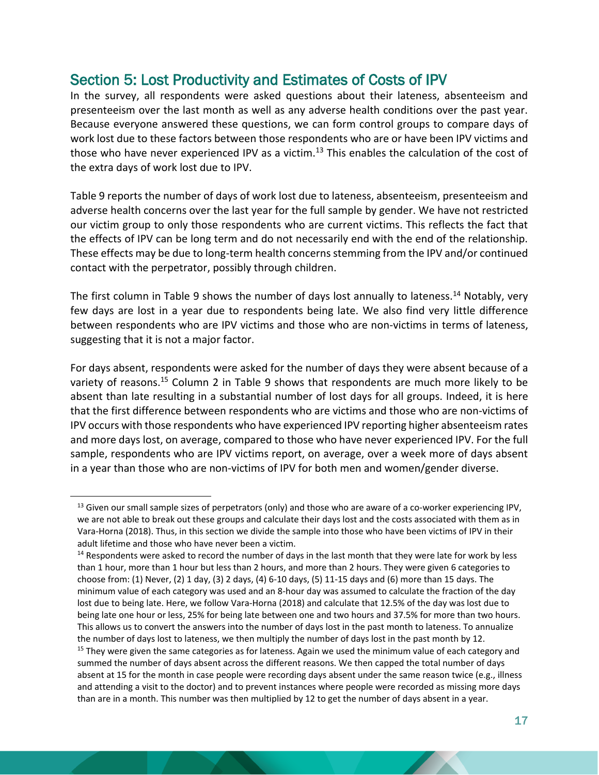# <span id="page-17-0"></span>Section 5: Lost Productivity and Estimates of Costs of IPV

In the survey, all respondents were asked questions about their lateness, absenteeism and presenteeism over the last month as well as any adverse health conditions over the past year. Because everyone answered these questions, we can form control groups to compare days of work lost due to these factors between those respondents who are or have been IPV victims and those who have never experienced IPV as a victim. $^{13}$  This enables the calculation of the cost of the extra days of work lost due to IPV.

Table 9 reports the number of days of work lost due to lateness, absenteeism, presenteeism and adverse health concerns over the last year for the full sample by gender. We have not restricted our victim group to only those respondents who are current victims. This reflects the fact that the effects of IPV can be long term and do not necessarily end with the end of the relationship. These effects may be due to long-term health concerns stemming from the IPV and/or continued contact with the perpetrator, possibly through children.

The first column in Table 9 shows the number of days lost annually to lateness.<sup>14</sup> Notably, very few days are lost in a year due to respondents being late. We also find very little difference between respondents who are IPV victims and those who are non-victims in terms of lateness, suggesting that it is not a major factor.

For days absent, respondents were asked for the number of days they were absent because of a variety of reasons.<sup>15</sup> Column 2 in Table 9 shows that respondents are much more likely to be absent than late resulting in a substantial number of lost days for all groups. Indeed, it is here that the first difference between respondents who are victims and those who are non-victims of IPV occurs with those respondents who have experienced IPV reporting higher absenteeism rates and more days lost, on average, compared to those who have never experienced IPV. For the full sample, respondents who are IPV victims report, on average, over a week more of days absent in a year than those who are non-victims of IPV for both men and women/gender diverse.

 $<sup>13</sup>$  Given our small sample sizes of perpetrators (only) and those who are aware of a co-worker experiencing IPV,</sup> we are not able to break out these groups and calculate their days lost and the costs associated with them as in Vara-Horna (2018). Thus, in this section we divide the sample into those who have been victims of IPV in their adult lifetime and those who have never been a victim.

<sup>&</sup>lt;sup>14</sup> Respondents were asked to record the number of days in the last month that they were late for work by less than 1 hour, more than 1 hour but less than 2 hours, and more than 2 hours. They were given 6 categories to choose from: (1) Never, (2) 1 day, (3) 2 days, (4) 6-10 days, (5) 11-15 days and (6) more than 15 days. The minimum value of each category was used and an 8-hour day was assumed to calculate the fraction of the day lost due to being late. Here, we follow Vara-Horna (2018) and calculate that 12.5% of the day was lost due to being late one hour or less, 25% for being late between one and two hours and 37.5% for more than two hours. This allows us to convert the answers into the number of days lost in the past month to lateness. To annualize the number of days lost to lateness, we then multiply the number of days lost in the past month by 12. <sup>15</sup> They were given the same categories as for lateness. Again we used the minimum value of each category and summed the number of days absent across the different reasons. We then capped the total number of days absent at 15 for the month in case people were recording days absent under the same reason twice (e.g., illness and attending a visit to the doctor) and to prevent instances where people were recorded as missing more days than are in a month. This number was then multiplied by 12 to get the number of days absent in a year.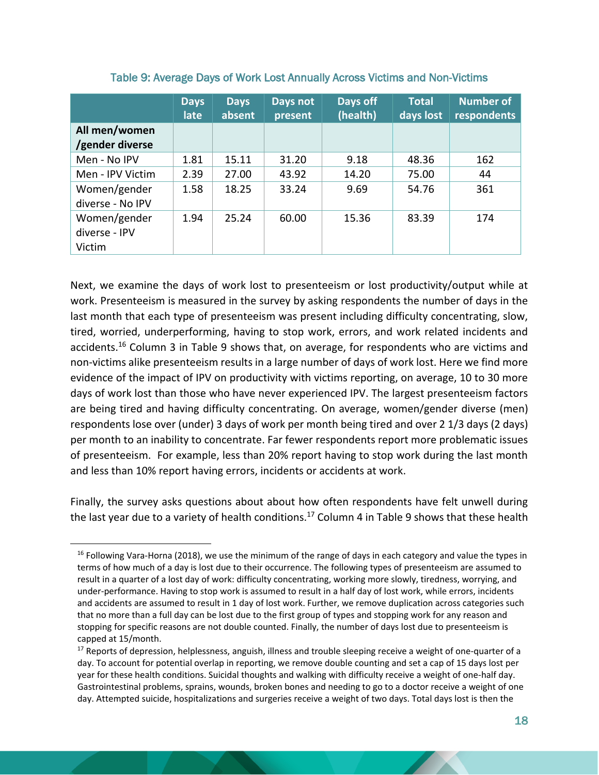<span id="page-18-0"></span>

|                                         | <b>Days</b><br>late | <b>Days</b><br>absent | Days not<br>present | Days off<br>(health) | <b>Total</b><br>days lost | <b>Number of</b><br>respondents |
|-----------------------------------------|---------------------|-----------------------|---------------------|----------------------|---------------------------|---------------------------------|
| All men/women<br>/gender diverse        |                     |                       |                     |                      |                           |                                 |
| Men - No IPV                            | 1.81                | 15.11                 | 31.20               | 9.18                 | 48.36                     | 162                             |
| Men - IPV Victim                        | 2.39                | 27.00                 | 43.92               | 14.20                | 75.00                     | 44                              |
| Women/gender<br>diverse - No IPV        | 1.58                | 18.25                 | 33.24               | 9.69                 | 54.76                     | 361                             |
| Women/gender<br>diverse - IPV<br>Victim | 1.94                | 25.24                 | 60.00               | 15.36                | 83.39                     | 174                             |

#### Table 9: Average Days of Work Lost Annually Across Victims and Non-Victims

Next, we examine the days of work lost to presenteeism or lost productivity/output while at work. Presenteeism is measured in the survey by asking respondents the number of days in the last month that each type of presenteeism was present including difficulty concentrating, slow, tired, worried, underperforming, having to stop work, errors, and work related incidents and accidents.<sup>16</sup> Column 3 in Table 9 shows that, on average, for respondents who are victims and non-victims alike presenteeism results in a large number of days of work lost. Here we find more evidence of the impact of IPV on productivity with victims reporting, on average, 10 to 30 more days of work lost than those who have never experienced IPV. The largest presenteeism factors are being tired and having difficulty concentrating. On average, women/gender diverse (men) respondents lose over (under) 3 days of work per month being tired and over 2 1/3 days (2 days) per month to an inability to concentrate. Far fewer respondents report more problematic issues of presenteeism. For example, less than 20% report having to stop work during the last month and less than 10% report having errors, incidents or accidents at work.

Finally, the survey asks questions about about how often respondents have felt unwell during the last year due to a variety of health conditions.<sup>17</sup> Column 4 in Table 9 shows that these health

 $16$  Following Vara-Horna (2018), we use the minimum of the range of days in each category and value the types in terms of how much of a day is lost due to their occurrence. The following types of presenteeism are assumed to result in a quarter of a lost day of work: difficulty concentrating, working more slowly, tiredness, worrying, and under-performance. Having to stop work is assumed to result in a half day of lost work, while errors, incidents and accidents are assumed to result in 1 day of lost work. Further, we remove duplication across categories such that no more than a full day can be lost due to the first group of types and stopping work for any reason and stopping for specific reasons are not double counted. Finally, the number of days lost due to presenteeism is capped at 15/month.

 $17$  Reports of depression, helplessness, anguish, illness and trouble sleeping receive a weight of one-quarter of a day. To account for potential overlap in reporting, we remove double counting and set a cap of 15 days lost per year for these health conditions. Suicidal thoughts and walking with difficulty receive a weight of one-half day. Gastrointestinal problems, sprains, wounds, broken bones and needing to go to a doctor receive a weight of one day. Attempted suicide, hospitalizations and surgeries receive a weight of two days. Total days lost is then the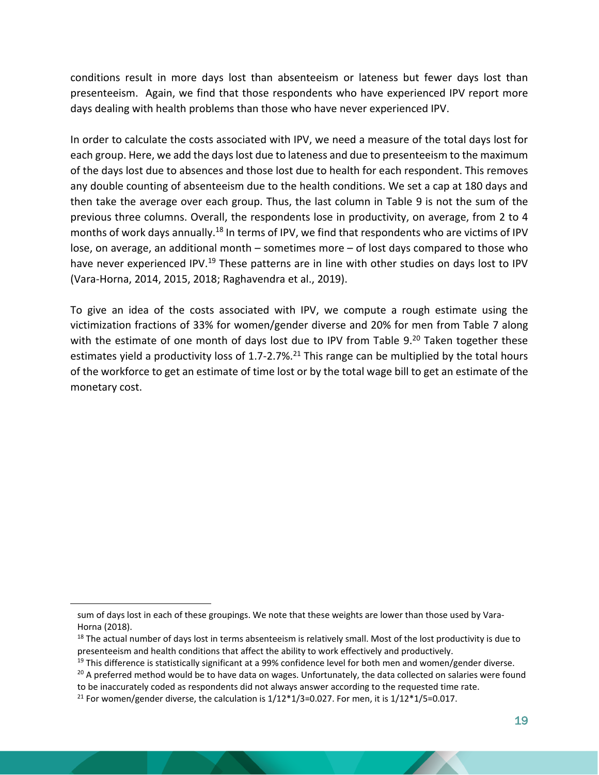conditions result in more days lost than absenteeism or lateness but fewer days lost than presenteeism. Again, we find that those respondents who have experienced IPV report more days dealing with health problems than those who have never experienced IPV.

In order to calculate the costs associated with IPV, we need a measure of the total days lost for each group. Here, we add the days lost due to lateness and due to presenteeism to the maximum of the days lost due to absences and those lost due to health for each respondent. This removes any double counting of absenteeism due to the health conditions. We set a cap at 180 days and then take the average over each group. Thus, the last column in Table 9 is not the sum of the previous three columns. Overall, the respondents lose in productivity, on average, from 2 to 4 months of work days annually.<sup>18</sup> In terms of IPV, we find that respondents who are victims of IPV lose, on average, an additional month – sometimes more – of lost days compared to those who have never experienced IPV.<sup>19</sup> These patterns are in line with other studies on days lost to IPV (Vara-Horna, 2014, 2015, 2018; Raghavendra et al., 2019).

To give an idea of the costs associated with IPV, we compute a rough estimate using the victimization fractions of 33% for women/gender diverse and 20% for men from Table 7 along with the estimate of one month of days lost due to IPV from Table 9.<sup>20</sup> Taken together these estimates yield a productivity loss of 1.7-2.7%.<sup>21</sup> This range can be multiplied by the total hours of the workforce to get an estimate of time lost or by the total wage bill to get an estimate of the monetary cost.

sum of days lost in each of these groupings. We note that these weights are lower than those used by Vara-Horna (2018).

 $18$  The actual number of days lost in terms absenteeism is relatively small. Most of the lost productivity is due to presenteeism and health conditions that affect the ability to work effectively and productively.

 $19$  This difference is statistically significant at a 99% confidence level for both men and women/gender diverse.

 $20$  A preferred method would be to have data on wages. Unfortunately, the data collected on salaries were found

to be inaccurately coded as respondents did not always answer according to the requested time rate. <sup>21</sup> For women/gender diverse, the calculation is  $1/12*1/3=0.027$ . For men, it is  $1/12*1/5=0.017$ .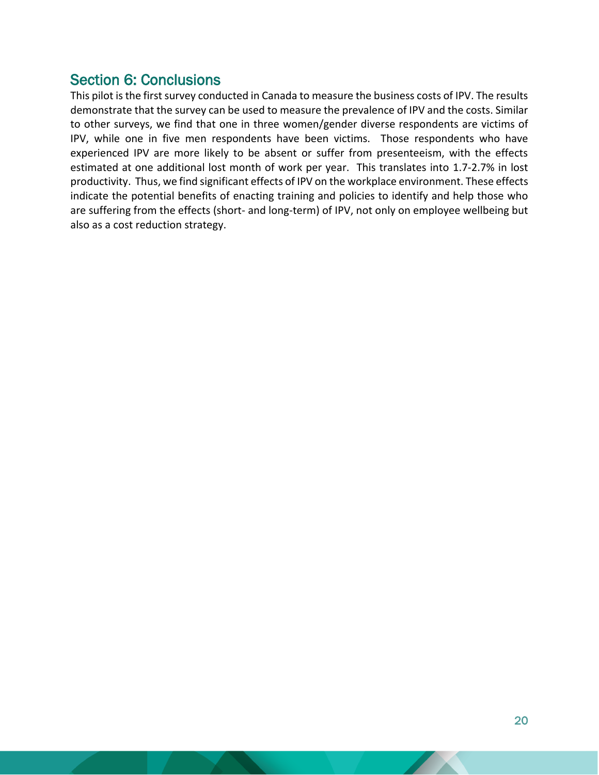# <span id="page-20-0"></span>Section 6: Conclusions

This pilot is the first survey conducted in Canada to measure the business costs of IPV. The results demonstrate that the survey can be used to measure the prevalence of IPV and the costs. Similar to other surveys, we find that one in three women/gender diverse respondents are victims of IPV, while one in five men respondents have been victims. Those respondents who have experienced IPV are more likely to be absent or suffer from presenteeism, with the effects estimated at one additional lost month of work per year. This translates into 1.7-2.7% in lost productivity. Thus, we find significant effects of IPV on the workplace environment. These effects indicate the potential benefits of enacting training and policies to identify and help those who are suffering from the effects (short- and long-term) of IPV, not only on employee wellbeing but also as a cost reduction strategy.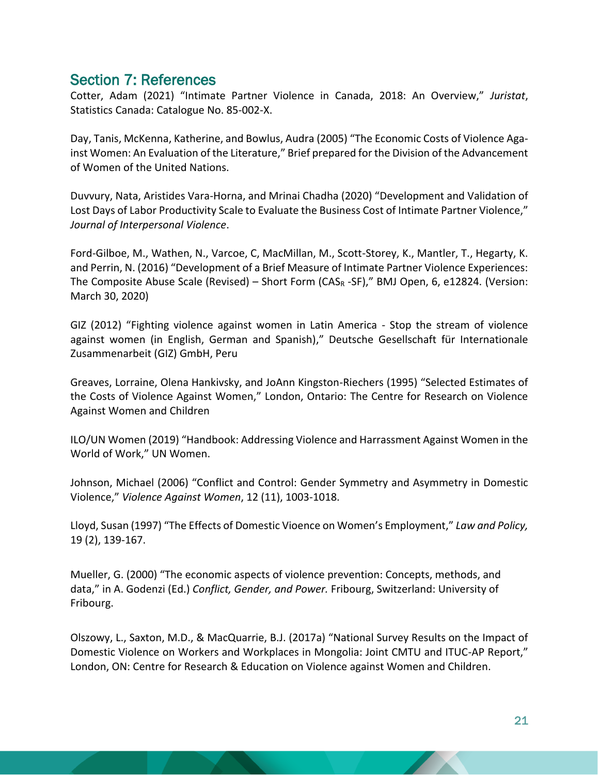## <span id="page-21-0"></span>Section 7: References

Cotter, Adam (2021) "Intimate Partner Violence in Canada, 2018: An Overview," *Juristat*, Statistics Canada: Catalogue No. 85-002-X.

Day, Tanis, McKenna, Katherine, and Bowlus, Audra (2005) "The Economic Costs of Violence Against Women: An Evaluation of the Literature," Brief prepared for the Division of the Advancement of Women of the United Nations.

Duvvury, Nata, Aristides Vara-Horna, and Mrinai Chadha (2020) "Development and Validation of Lost Days of Labor Productivity Scale to Evaluate the Business Cost of Intimate Partner Violence," *Journal of Interpersonal Violence*.

Ford-Gilboe, M., Wathen, N., Varcoe, C, MacMillan, M., Scott-Storey, K., Mantler, T., Hegarty, K. and Perrin, N. (2016) "Development of a Brief Measure of Intimate Partner Violence Experiences: The Composite Abuse Scale (Revised) – Short Form (CAS<sup>R</sup> -SF)," BMJ Open, 6, e12824. (Version: March 30, 2020)

GIZ (2012) "Fighting violence against women in Latin America - Stop the stream of violence against women (in English, German and Spanish)," Deutsche Gesellschaft für Internationale Zusammenarbeit (GIZ) GmbH, Peru

Greaves, Lorraine, Olena Hankivsky, and JoAnn Kingston-Riechers (1995) "Selected Estimates of the Costs of Violence Against Women," London, Ontario: The Centre for Research on Violence Against Women and Children

ILO/UN Women (2019) "Handbook: Addressing Violence and Harrassment Against Women in the World of Work," UN Women.

Johnson, Michael (2006) "Conflict and Control: Gender Symmetry and Asymmetry in Domestic Violence," *Violence Against Women*, 12 (11), 1003-1018.

Lloyd, Susan (1997) "The Effects of Domestic Vioence on Women's Employment," *Law and Policy,* 19 (2), 139-167.

Mueller, G. (2000) "The economic aspects of violence prevention: Concepts, methods, and data," in A. Godenzi (Ed.) *Conflict, Gender, and Power.* Fribourg, Switzerland: University of Fribourg.

Olszowy, L., Saxton, M.D., & MacQuarrie, B.J. (2017a) "National Survey Results on the Impact of Domestic Violence on Workers and Workplaces in Mongolia: Joint CMTU and ITUC-AP Report," London, ON: Centre for Research & Education on Violence against Women and Children.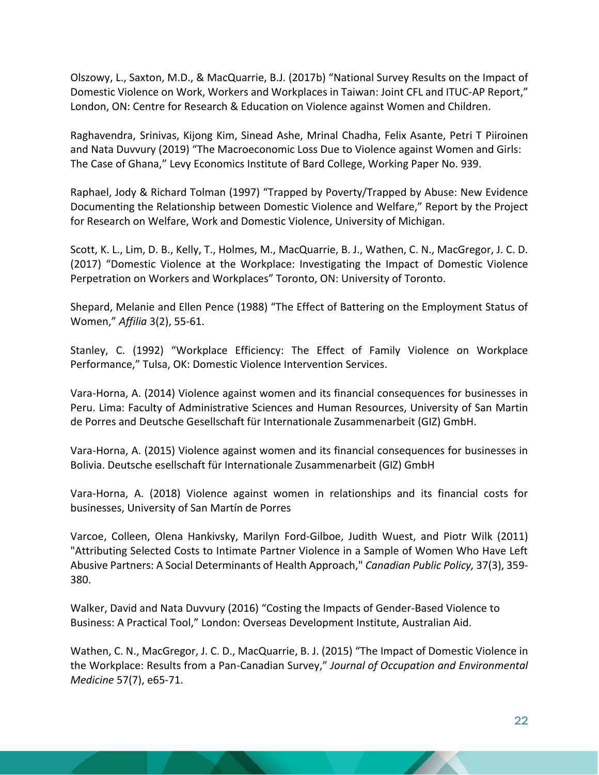Olszowy, L., Saxton, M.D., & MacQuarrie, B.J. (2017b) "National Survey Results on the Impact of Domestic Violence on Work, Workers and Workplaces in Taiwan: Joint CFL and ITUC-AP Report," London, ON: Centre for Research & Education on Violence against Women and Children.

Raghavendra, Srinivas, Kijong Kim, Sinead Ashe, Mrinal Chadha, Felix Asante, Petri T Piiroinen and Nata Duvvury (2019) "The Macroeconomic Loss Due to Violence against Women and Girls: The Case of Ghana," Levy Economics Institute of Bard College, Working Paper No. 939.

Raphael, Jody & Richard Tolman (1997) "Trapped by Poverty/Trapped by Abuse: New Evidence Documenting the Relationship between Domestic Violence and Welfare," Report by the Project for Research on Welfare, Work and Domestic Violence, University of Michigan.

Scott, K. L., Lim, D. B., Kelly, T., Holmes, M., MacQuarrie, B. J., Wathen, C. N., MacGregor, J. C. D. (2017) "Domestic Violence at the Workplace: Investigating the Impact of Domestic Violence Perpetration on Workers and Workplaces" Toronto, ON: University of Toronto.

Shepard, Melanie and Ellen Pence (1988) "The Effect of Battering on the Employment Status of Women," *Affilia* 3(2), 55-61.

Stanley, C. (1992) "Workplace Efficiency: The Effect of Family Violence on Workplace Performance," Tulsa, OK: Domestic Violence Intervention Services.

Vara-Horna, A. (2014) Violence against women and its financial consequences for businesses in Peru. Lima: Faculty of Administrative Sciences and Human Resources, University of San Martin de Porres and Deutsche Gesellschaft für Internationale Zusammenarbeit (GIZ) GmbH.

Vara-Horna, A. (2015) Violence against women and its financial consequences for businesses in Bolivia. Deutsche esellschaft für Internationale Zusammenarbeit (GIZ) GmbH

Vara-Horna, A. (2018) Violence against women in relationships and its financial costs for businesses, University of San Martín de Porres

Varcoe, Colleen, Olena Hankivsky, Marilyn Ford-Gilboe, Judith Wuest, and Piotr Wilk (2011) "Attributing Selected Costs to Intimate Partner Violence in a Sample of Women Who Have Left Abusive Partners: A Social Determinants of Health Approach," *Canadian Public Policy,* 37(3), 359- 380.

Walker, David and Nata Duvvury (2016) "Costing the Impacts of Gender-Based Violence to Business: A Practical Tool," London: Overseas Development Institute, Australian Aid.

Wathen, C. N., MacGregor, J. C. D., MacQuarrie, B. J. (2015) "The Impact of Domestic Violence in the Workplace: Results from a Pan-Canadian Survey," *Journal of Occupation and Environmental Medicine* 57(7), e65-71.